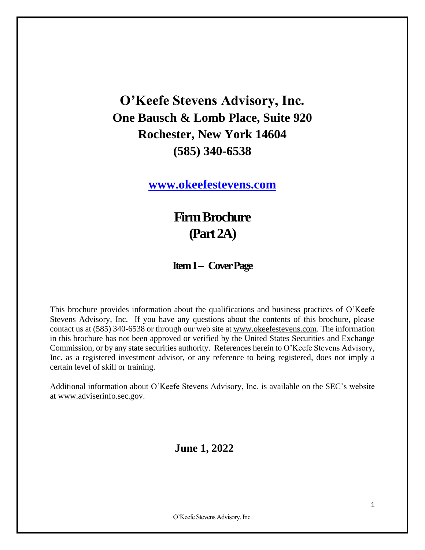**O'Keefe Stevens Advisory, Inc. One Bausch & Lomb Place, Suite 920 Rochester, New York 14604 (585) 340-6538**

**[www.okeefestevens.com](http://www.adviserinfo.sec.gov/)**

**Firm Brochure (Part 2A)**

### **Item 1 – Cover Page**

This brochure provides information about the qualifications and business practices of O'Keefe Stevens Advisory, Inc. If you have any questions about the contents of this brochure, please contact us at (585) 340-6538 or through our web site at [www.okeefestevens.com.](http://www.businessdictionary.com/definition/advisory.html) The information in this brochure has not been approved or verified by the United States Securities and Exchange Commission, or by any state securities authority. References herein to O'Keefe Stevens Advisory, Inc. as a registered investment advisor, or any reference to being registered, does not imply a certain level of skill or training.

Additional information about O'Keefe Stevens Advisory, Inc. is available on the SEC's website at [www.adviserinfo.sec.gov.](mailto:carly@okeefestevens.com)

### **June 1, 2022**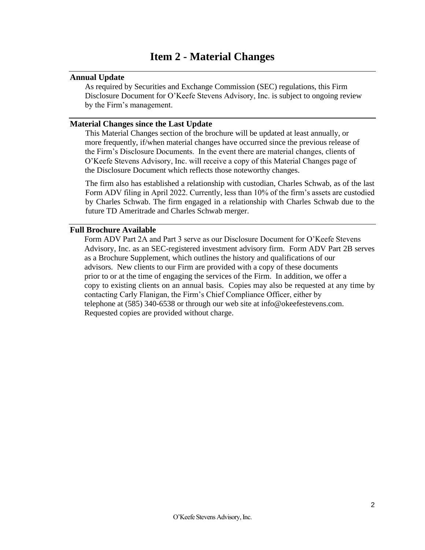### **Item 2 - Material Changes**

#### <span id="page-1-1"></span><span id="page-1-0"></span>**Annual Update**

As required by Securities and Exchange Commission (SEC) regulations, this Firm Disclosure Document for O'Keefe Stevens Advisory, Inc. is subject to ongoing review by the Firm's management.

#### <span id="page-1-2"></span>**Material Changes since the Last Update**

This Material Changes section of the brochure will be updated at least annually, or more frequently, if/when material changes have occurred since the previous release of the Firm's Disclosure Documents. In the event there are material changes, clients of O'Keefe Stevens Advisory, Inc. will receive a copy of this Material Changes page of the Disclosure Document which reflects those noteworthy changes.

The firm also has established a relationship with custodian, Charles Schwab, as of the last Form ADV filing in April 2022. Currently, less than 10% of the firm's assets are custodied by Charles Schwab. The firm engaged in a relationship with Charles Schwab due to the future TD Ameritrade and Charles Schwab merger.

#### <span id="page-1-3"></span>**Full Brochure Available**

Form ADV Part 2A and Part 3 serve as our Disclosure Document for O'Keefe Stevens Advisory, Inc. as an SEC-registered investment advisory firm. Form ADV Part 2B serves as a Brochure Supplement, which outlines the history and qualifications of our advisors. New clients to our Firm are provided with a copy of these documents prior to or at the time of engaging the services of the Firm. In addition, we offer a copy to existing clients on an annual basis. Copies may also be requested at any time by contacting Carly Flanigan, the Firm's Chief Compliance Officer, either by telephone at (585) 340-6538 or through our web site at info@okeefestevens.com. Requested copies are provided without charge.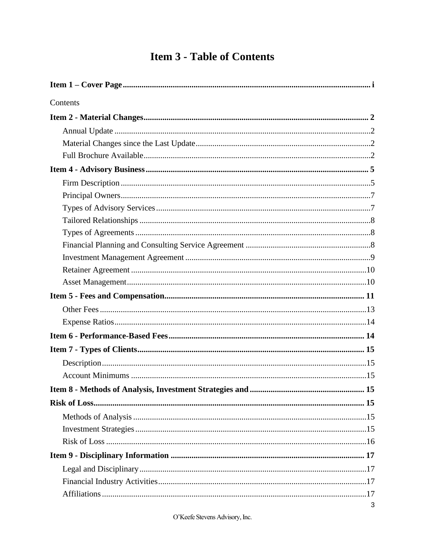## **Item 3 - Table of Contents**

| Contents |   |
|----------|---|
|          |   |
|          |   |
|          |   |
|          |   |
|          |   |
|          |   |
|          |   |
|          |   |
|          |   |
|          |   |
|          |   |
|          |   |
|          |   |
|          |   |
|          |   |
|          |   |
|          |   |
|          |   |
|          |   |
|          |   |
|          |   |
|          |   |
|          |   |
|          |   |
|          |   |
|          |   |
|          |   |
|          |   |
|          |   |
|          |   |
|          | 3 |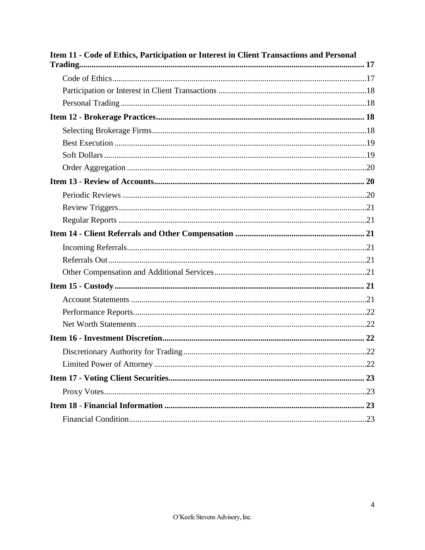| Item 11 - Code of Ethics, Participation or Interest in Client Transactions and Personal |  |
|-----------------------------------------------------------------------------------------|--|
|                                                                                         |  |
|                                                                                         |  |
|                                                                                         |  |
|                                                                                         |  |
|                                                                                         |  |
|                                                                                         |  |
|                                                                                         |  |
|                                                                                         |  |
|                                                                                         |  |
|                                                                                         |  |
|                                                                                         |  |
|                                                                                         |  |
|                                                                                         |  |
|                                                                                         |  |
|                                                                                         |  |
|                                                                                         |  |
|                                                                                         |  |
|                                                                                         |  |
|                                                                                         |  |
|                                                                                         |  |
|                                                                                         |  |
|                                                                                         |  |
|                                                                                         |  |
|                                                                                         |  |
|                                                                                         |  |
|                                                                                         |  |
|                                                                                         |  |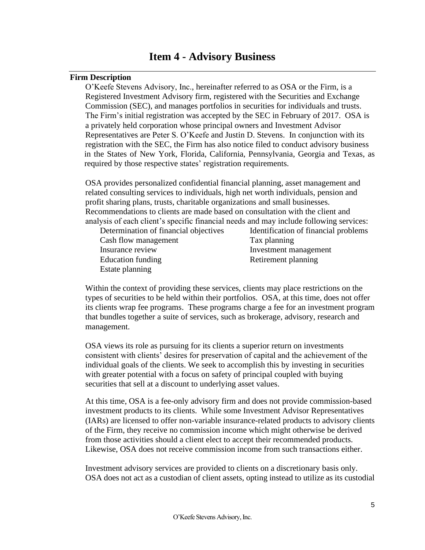### **Item 4 - Advisory Business**

#### <span id="page-4-1"></span><span id="page-4-0"></span>**Firm Description**

O'Keefe Stevens Advisory, Inc., hereinafter referred to as OSA or the Firm, is a Registered Investment Advisory firm, registered with the Securities and Exchange Commission (SEC), and manages portfolios in securities for individuals and trusts. The Firm's initial registration was accepted by the SEC in February of 2017. OSA is a privately held corporation whose principal owners and Investment Advisor Representatives are Peter S. O'Keefe and Justin D. Stevens. In conjunction with its registration with the SEC, the Firm has also notice filed to conduct advisory business in the States of New York, Florida, California, Pennsylvania, Georgia and Texas, as required by those respective states' registration requirements.

 OSA provides personalized confidential financial planning, asset management and related consulting services to individuals, high net worth individuals, pension and profit sharing plans, trusts, charitable organizations and small businesses. Recommendations to clients are made based on consultation with the client and analysis of each client's specific financial needs and may include following services:

Cash flow management Tax planning Insurance review Investment management Education funding Retirement planning Estate planning

Determination of financial objectives Identification of financial problems

 Within the context of providing these services, clients may place restrictions on the types of securities to be held within their portfolios. OSA, at this time, does not offer its clients wrap fee programs. These programs [charge](http://www.okeefestevens.com/) a fee for an [investment](http://www.okeefestevens.com/) [program](http://www.adviserinfo.sec.gov/) that [bundles](http://www.adviserinfo.sec.gov/) together a suite of [services,](http://www.investorwords.com/2931/management.html) such as [brokerage,](http://www.investorwords.com/5454/charge.html) [advisory,](http://www.adviserinfo.sec.gov/) [research](http://www.businessdictionary.com/definition/bundle.html) and [management.](mailto:carly@okeefestevens.com)

 OSA views its role as pursuing for its clients a superior return on investments consistent with clients' desires for preservation of capital and the achievement of the individual goals of the clients. We seek to accomplish this by investing in securities with greater potential with a focus on safety of principal coupled with buying securities that sell at a discount to underlying asset values.

 At this time, OSA is a fee-only advisory firm and does not provide commission-based investment products to its clients. While some Investment Advisor Representatives (IARs) are licensed to offer non-variable insurance-related products to advisory clients of the Firm, they receive no commission income which might otherwise be derived from those activities should a client elect to accept their recommended products. Likewise, OSA does not receive commission income from such transactions either.

 Investment advisory services are provided to clients on a discretionary basis only. OSA does not act as a custodian of client assets, opting instead to utilize as its custodial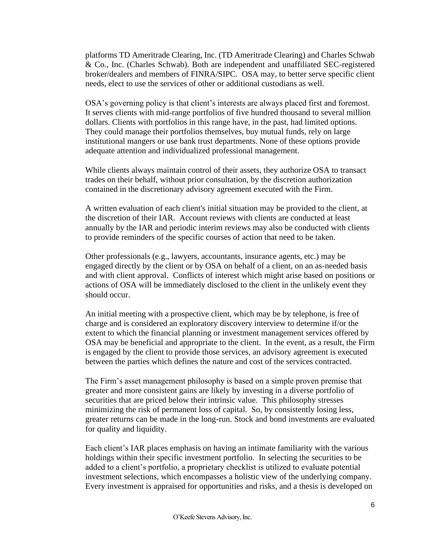platforms TD Ameritrade Clearing, Inc. (TD Ameritrade Clearing) and Charles Schwab & Co., Inc. (Charles Schwab). Both are independent and unaffiliated SEC-registered broker/dealers and members of FINRA/SIPC. OSA may, to better serve specific client needs, elect to use the services of other or additional custodians as well.

 OSA's governing policy is that client's interests are always placed first and foremost. It serves clients with mid-range portfolios of five hundred thousand to several million dollars. Clients with portfolios in this range have, in the past, had limited options. They could manage their portfolios themselves, buy mutual funds, rely on large institutional mangers or use bank trust departments. None of these options provide adequate attention and individualized professional management.

 While clients always maintain control of their assets, they authorize OSA to transact trades on their behalf, without prior consultation, by the discretion authorization contained in the discretionary advisory agreement executed with the Firm.

 A written evaluation of each client's initial situation may be provided to the client, at the discretion of their IAR. Account reviews with clients are conducted at least annually by the IAR and periodic interim reviews may also be conducted with clients to provide reminders of the specific courses of action that need to be taken.

 Other professionals (e.g., lawyers, accountants, insurance agents, etc.) may be engaged directly by the client or by OSA on behalf of a client, on an as-needed basis and with client approval. Conflicts of interest which might arise based on positions or actions of OSA will be immediately disclosed to the client in the unlikely event they should occur.

 An initial meeting with a prospective client, which may be by telephone, is free of charge and is considered an exploratory discovery interview to determine if/or the extent to which the financial planning or investment management services offered by OSA may be beneficial and appropriate to the client. In the event, as a result, the Firm is engaged by the client to provide those services, an advisory agreement is executed between the parties which defines the nature and cost of the services contracted.

 The Firm's asset management philosophy is based on a simple proven premise that greater and more consistent gains are likely by investing in a diverse portfolio of securities that are priced below their intrinsic value. This philosophy stresses minimizing the risk of permanent loss of capital. So, by consistently losing less, greater returns can be made in the long-run. Stock and bond investments are evaluated for quality and liquidity.

 Each client's IAR places emphasis on having an intimate familiarity with the various holdings within their specific investment portfolio. In selecting the securities to be added to a client's portfolio, a proprietary checklist is utilized to evaluate potential investment selections, which encompasses a holistic view of the underlying company. Every investment is appraised for opportunities and risks, and a thesis is developed on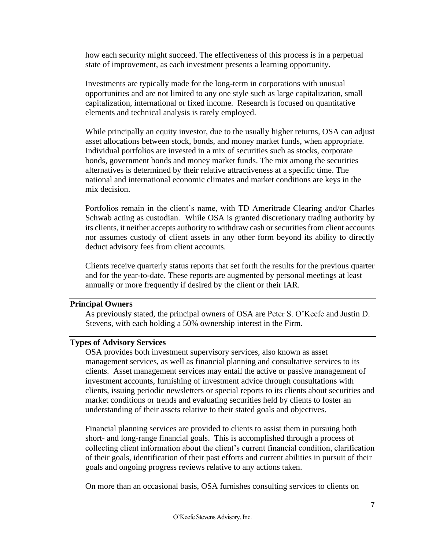how each security might succeed. The effectiveness of this process is in a perpetual state of improvement, as each investment presents a learning opportunity.

 Investments are typically made for the long-term in corporations with unusual opportunities and are not limited to any one style such as large capitalization, small capitalization, international or fixed income. Research is focused on quantitative elements and technical analysis is rarely employed.

 While principally an equity investor, due to the usually higher returns, OSA can adjust asset allocations between stock, bonds, and money market funds, when appropriate. Individual portfolios are invested in a mix of securities such as stocks, corporate bonds, government bonds and money market funds. The mix among the securities alternatives is determined by their relative attractiveness at a specific time. The national and international economic climates and market conditions are keys in the mix decision.

Portfolios remain in the client's name, with TD Ameritrade Clearing and/or Charles Schwab acting as custodian. While OSA is granted discretionary trading authority by its clients, it neither accepts authority to withdraw cash or securities from client accounts nor assumes custody of client assets in any other form beyond its ability to directly deduct advisory fees from client accounts.

 Clients receive quarterly status reports that set forth the results for the previous quarter and for the year-to-date. These reports are augmented by personal meetings at least annually or more frequently if desired by the client or their IAR.

#### <span id="page-6-0"></span>**Principal Owners**

 As previously stated, the principal owners of OSA are Peter S. O'Keefe and Justin D. Stevens, with each holding a 50% ownership interest in the Firm.

#### <span id="page-6-1"></span>**Types of Advisory Services**

 OSA provides both investment supervisory services, also known as asset management services, as well as financial planning and consultative services to its clients. Asset management services may entail the active or passive management of investment accounts, furnishing of investment advice through consultations with clients, issuing periodic newsletters or special reports to its clients about securities and market conditions or trends and evaluating securities held by clients to foster an understanding of their assets relative to their stated goals and objectives.

 Financial planning services are provided to clients to assist them in pursuing both short- and long-range financial goals. This is accomplished through a process of collecting client information about the client's current financial condition, clarification of their goals, identification of their past efforts and current abilities in pursuit of their goals and ongoing progress reviews relative to any actions taken.

On more than an occasional basis, OSA furnishes consulting services to clients on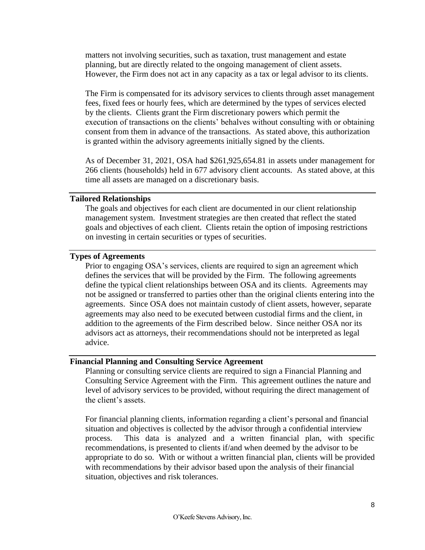matters not involving securities, such as taxation, trust management and estate planning, but are directly related to the ongoing management of client assets. However, the Firm does not act in any capacity as a tax or legal advisor to its clients.

 The Firm is compensated for its advisory services to clients through asset management fees, fixed fees or hourly fees, which are determined by the types of services elected by the clients. Clients grant the Firm discretionary powers which permit the execution of transactions on the clients' behalves without consulting with or obtaining consent from them in advance of the transactions. As stated above, this authorization is granted within the advisory agreements initially signed by the clients.

As of December 31, 2021, OSA had \$261,925,654.81 in assets under management for 266 clients (households) held in 677 advisory client accounts. As stated above, at this time all assets are managed on a discretionary basis.

#### <span id="page-7-0"></span>**Tailored Relationships**

 The goals and objectives for each client are documented in our client relationship management system. Investment strategies are then created that reflect the stated goals and objectives of each client. Clients retain the option of imposing restrictions on investing in certain securities or types of securities.

#### <span id="page-7-1"></span>**Types of Agreements**

 Prior to engaging OSA's services, clients are required to sign an agreement which defines the services that will be provided by the Firm. The following agreements define the typical client relationships between OSA and its clients. Agreements may not be assigned or transferred to parties other than the original clients entering into the agreements. Since OSA does not maintain custody of client assets, however, separate agreements may also need to be executed between custodial firms and the client, in addition to the agreements of the Firm described below. Since neither OSA nor its advisors act as attorneys, their recommendations should not be interpreted as legal advice.

#### <span id="page-7-2"></span>**Financial Planning and Consulting Service Agreement**

 Planning or consulting service clients are required to sign a Financial Planning and Consulting Service Agreement with the Firm. This agreement outlines the nature and level of advisory services to be provided, without requiring the direct management of the client's assets.

For financial planning clients, information regarding a client's personal and financial situation and objectives is collected by the advisor through a confidential interview process. This data is analyzed and a written financial plan, with specific recommendations, is presented to clients if/and when deemed by the advisor to be appropriate to do so. With or without a written financial plan, clients will be provided with recommendations by their advisor based upon the analysis of their financial situation, objectives and risk tolerances.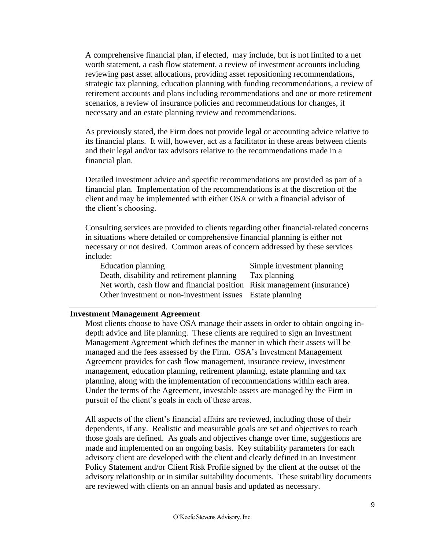A comprehensive financial plan, if elected, may include, but is not limited to a net worth statement, a cash flow statement, a review of investment accounts including reviewing past asset allocations, providing asset repositioning recommendations, strategic tax planning, education planning with funding recommendations, a review of retirement accounts and plans including recommendations and one or more retirement scenarios, a review of insurance policies and recommendations for changes, if necessary and an estate planning review and recommendations.

 As previously stated, the Firm does not provide legal or accounting advice relative to its financial plans. It will, however, act as a facilitator in these areas between clients and their legal and/or tax advisors relative to the recommendations made in a financial plan.

 Detailed investment advice and specific recommendations are provided as part of a financial plan. Implementation of the recommendations is at the discretion of the client and may be implemented with either OSA or with a financial advisor of the client's choosing.

 Consulting services are provided to clients regarding other financial-related concerns in situations where detailed or comprehensive financial planning is either not necessary or not desired. Common areas of concern addressed by these services include:

Education planning Simple investment planning Death, disability and retirement planning Tax planning Net worth, cash flow and financial position Risk management (insurance) Other investment or non-investment issues Estate planning

#### <span id="page-8-0"></span>**Investment Management Agreement**

 Most clients choose to have OSA manage their assets in order to obtain ongoing in depth advice and life planning. These clients are required to sign an Investment Management Agreement which defines the manner in which their assets will be managed and the fees assessed by the Firm. OSA's Investment Management Agreement provides for cash flow management, insurance review, investment management, education planning, retirement planning, estate planning and tax planning, along with the implementation of recommendations within each area. Under the terms of the Agreement, investable assets are managed by the Firm in pursuit of the client's goals in each of these areas.

 All aspects of the client's financial affairs are reviewed, including those of their dependents, if any. Realistic and measurable goals are set and objectives to reach those goals are defined. As goals and objectives change over time, suggestions are made and implemented on an ongoing basis. Key suitability parameters for each advisory client are developed with the client and clearly defined in an Investment Policy Statement and/or Client Risk Profile signed by the client at the outset of the advisory relationship or in similar suitability documents. These suitability documents are reviewed with clients on an annual basis and updated as necessary.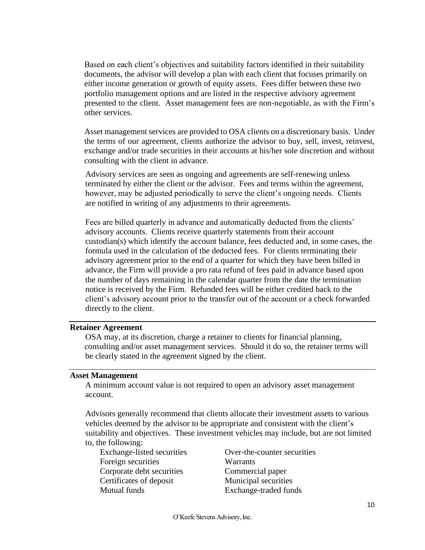Based on each client's objectives and suitability factors identified in their suitability documents, the advisor will develop a plan with each client that focuses primarily on either income generation or growth of equity assets. Fees differ between these two portfolio management options and are listed in the respective advisory agreement presented to the client. Asset management fees are non-negotiable, as with the Firm's other services.

Asset management services are provided to OSA clients on a discretionary basis. Under the terms of our agreement, clients authorize the advisor to buy, sell, invest, reinvest, exchange and/or trade securities in their accounts at his/her sole discretion and without consulting with the client in advance.

 Advisory services are seen as ongoing and agreements are self-renewing unless terminated by either the client or the advisor. Fees and terms within the agreement, however, may be adjusted periodically to serve the client's ongoing needs. Clients are notified in writing of any adjustments to their agreements.

 Fees are billed quarterly in advance and automatically deducted from the clients' advisory accounts. Clients receive quarterly statements from their account custodian(s) which identify the account balance, fees deducted and, in some cases, the formula used in the calculation of the deducted fees. For clients terminating their advisory agreement prior to the end of a quarter for which they have been billed in advance, the Firm will provide a pro rata refund of fees paid in advance based upon the number of days remaining in the calendar quarter from the date the termination notice is received by the Firm. Refunded fees will be either credited back to the client's advisory account prior to the transfer out of the account or a check forwarded directly to the client.

#### <span id="page-9-0"></span>**Retainer Agreement**

 OSA may, at its discretion, charge a retainer to clients for financial planning, consulting and/or asset management services. Should it do so, the retainer terms will be clearly stated in the agreement signed by the client.

#### <span id="page-9-1"></span>**Asset Management**

A minimum account value is not required to open an advisory asset management account.

 Advisors generally recommend that clients allocate their investment assets to various vehicles deemed by the advisor to be appropriate and consistent with the client's suitability and objectives. These investment vehicles may include, but are not limited

to, the following:

Foreign securities Warrants Corporate debt securities Commercial paper Certificates of deposit Municipal securities Mutual funds Exchange-traded funds

Exchange-listed securities Over-the-counter securities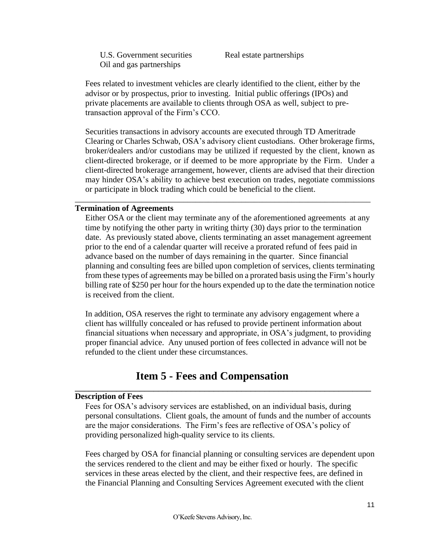U.S. Government securities Real estate partnerships Oil and gas partnerships

 Fees related to investment vehicles are clearly identified to the client, either by the advisor or by prospectus, prior to investing. Initial public offerings (IPOs) and private placements are available to clients through OSA as well, subject to pre transaction approval of the Firm's CCO.

 Securities transactions in advisory accounts are executed through TD Ameritrade Clearing or Charles Schwab, OSA's advisory client custodians. Other brokerage firms, broker/dealers and/or custodians may be utilized if requested by the client, known as client-directed brokerage, or if deemed to be more appropriate by the Firm. Under a client-directed brokerage arrangement, however, clients are advised that their direction may hinder OSA's ability to achieve best execution on trades, negotiate commissions or participate in block trading which could be beneficial to the client.

\_\_\_\_\_\_\_\_\_\_\_\_\_\_\_\_\_\_\_\_\_\_\_\_\_\_\_\_\_\_\_\_\_\_\_\_\_\_\_\_\_\_\_\_\_\_\_\_\_\_\_\_\_\_\_\_\_\_\_\_\_\_\_\_\_\_\_\_\_\_\_

#### **Termination of Agreements**

Either OSA or the client may terminate any of the aforementioned agreements at any time by notifying the other party in writing thirty (30) days prior to the termination date. As previously stated above, clients terminating an asset management agreement prior to the end of a calendar quarter will receive a prorated refund of fees paid in advance based on the number of days remaining in the quarter. Since financial planning and consulting fees are billed upon completion of services, clients terminating from these types of agreements may be billed on a prorated basis using the Firm's hourly billing rate of \$250 per hour for the hours expended up to the date the termination notice is received from the client.

 In addition, OSA reserves the right to terminate any advisory engagement where a client has willfully concealed or has refused to provide pertinent information about financial situations when necessary and appropriate, in OSA's judgment, to providing proper financial advice. Any unused portion of fees collected in advance will not be refunded to the client under these circumstances.

### **Item 5 - Fees and Compensation**

<span id="page-10-0"></span>\_\_\_\_\_\_\_\_\_\_\_\_\_\_\_\_\_\_\_\_\_\_\_\_\_\_\_\_\_\_\_\_\_\_\_\_\_\_\_\_\_\_\_\_\_\_\_\_\_\_\_\_\_\_\_\_\_\_\_\_\_\_\_\_

#### **Description of Fees**

 Fees for OSA's advisory services are established, on an individual basis, during personal consultations. Client goals, the amount of funds and the number of accounts are the major considerations. The Firm's fees are reflective of OSA's policy of providing personalized high-quality service to its clients.

 Fees charged by OSA for financial planning or consulting services are dependent upon the services rendered to the client and may be either fixed or hourly. The specific services in these areas elected by the client, and their respective fees, are defined in the Financial Planning and Consulting Services Agreement executed with the client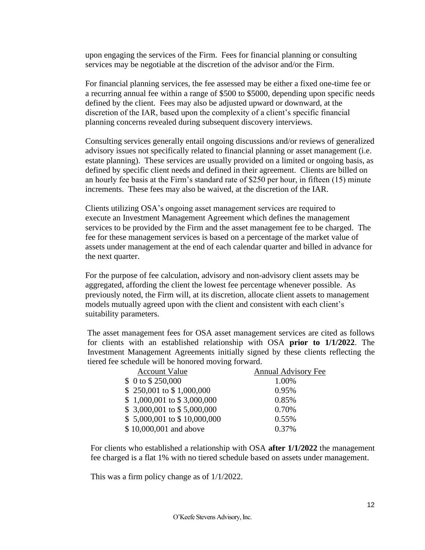upon engaging the services of the Firm. Fees for financial planning or consulting services may be negotiable at the discretion of the advisor and/or the Firm.

 For financial planning services, the fee assessed may be either a fixed one-time fee or a recurring annual fee within a range of \$500 to \$5000, depending upon specific needs defined by the client. Fees may also be adjusted upward or downward, at the discretion of the IAR, based upon the complexity of a client's specific financial planning concerns revealed during subsequent discovery interviews.

 Consulting services generally entail ongoing discussions and/or reviews of generalized advisory issues not specifically related to financial planning or asset management (i.e. estate planning). These services are usually provided on a limited or ongoing basis, as defined by specific client needs and defined in their agreement. Clients are billed on an hourly fee basis at the Firm's standard rate of \$250 per hour, in fifteen (15) minute increments. These fees may also be waived, at the discretion of the IAR.

 Clients utilizing OSA's ongoing asset management services are required to execute an Investment Management Agreement which defines the management services to be provided by the Firm and the asset management fee to be charged. The fee for these management services is based on a percentage of the market value of assets under management at the end of each calendar quarter and billed in advance for the next quarter.

 For the purpose of fee calculation, advisory and non-advisory client assets may be aggregated, affording the client the lowest fee percentage whenever possible. As previously noted, the Firm will, at its discretion, allocate client assets to management models mutually agreed upon with the client and consistent with each client's suitability parameters.

The asset management fees for OSA asset management services are cited as follows for clients with an established relationship with OSA **prior to 1/1/2022**. The Investment Management Agreements initially signed by these clients reflecting the tiered fee schedule will be honored moving forward.

| <b>Annual Advisory Fee</b> |
|----------------------------|
| 1.00%                      |
| 0.95%                      |
| 0.85%                      |
| 0.70%                      |
| 0.55%                      |
| 0.37%                      |
|                            |

For clients who established a relationship with OSA **after 1/1/2022** the management fee charged is a flat 1% with no tiered schedule based on assets under management.

This was a firm policy change as of 1/1/2022.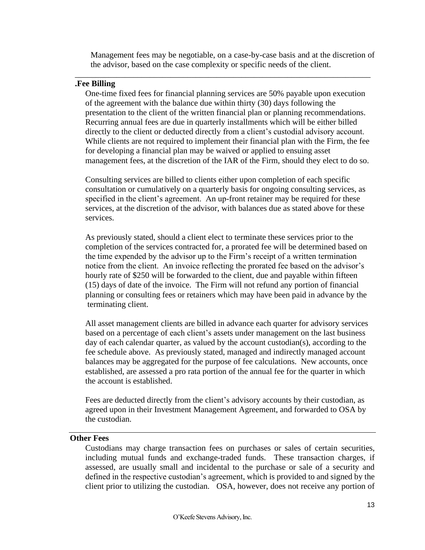Management fees may be negotiable, on a case-by-case basis and at the discretion of the advisor, based on the case complexity or specific needs of the client.

\_\_\_\_\_\_\_\_\_\_\_\_\_\_\_\_\_\_\_\_\_\_\_\_\_\_\_\_\_\_\_\_\_\_\_\_\_\_\_\_\_\_\_\_\_\_\_\_\_\_\_\_\_\_\_\_\_\_\_\_\_\_\_\_\_\_\_\_\_\_\_

#### **.Fee Billing**

 One-time fixed fees for financial planning services are 50% payable upon execution of the agreement with the balance due within thirty (30) days following the presentation to the client of the written financial plan or planning recommendations. Recurring annual fees are due in quarterly installments which will be either billed directly to the client or deducted directly from a client's custodial advisory account. While clients are not required to implement their financial plan with the Firm, the fee for developing a financial plan may be waived or applied to ensuing asset management fees, at the discretion of the IAR of the Firm, should they elect to do so.

 Consulting services are billed to clients either upon completion of each specific consultation or cumulatively on a quarterly basis for ongoing consulting services, as specified in the client's agreement. An up-front retainer may be required for these services, at the discretion of the advisor, with balances due as stated above for these services.

 As previously stated, should a client elect to terminate these services prior to the completion of the services contracted for, a prorated fee will be determined based on the time expended by the advisor up to the Firm's receipt of a written termination notice from the client. An invoice reflecting the prorated fee based on the advisor's hourly rate of \$250 will be forwarded to the client, due and payable within fifteen (15) days of date of the invoice. The Firm will not refund any portion of financial planning or consulting fees or retainers which may have been paid in advance by the terminating client.

 All asset management clients are billed in advance each quarter for advisory services based on a percentage of each client's assets under management on the last business day of each calendar quarter, as valued by the account custodian(s), according to the fee schedule above. As previously stated, managed and indirectly managed account balances may be aggregated for the purpose of fee calculations. New accounts, once established, are assessed a pro rata portion of the annual fee for the quarter in which the account is established.

 Fees are deducted directly from the client's advisory accounts by their custodian, as agreed upon in their Investment Management Agreement, and forwarded to OSA by the custodian.

#### <span id="page-12-0"></span>**Other Fees**

Custodians may charge transaction fees on purchases or sales of certain securities, including mutual funds and exchange-traded funds. These transaction charges, if assessed, are usually small and incidental to the purchase or sale of a security and defined in the respective custodian's agreement, which is provided to and signed by the client prior to utilizing the custodian. OSA, however, does not receive any portion of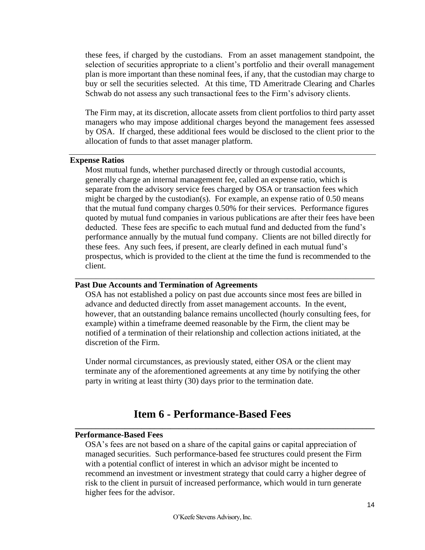these fees, if charged by the custodians. From an asset management standpoint, the selection of securities appropriate to a client's portfolio and their overall management plan is more important than these nominal fees, if any, that the custodian may charge to buy or sell the securities selected. At this time, TD Ameritrade Clearing and Charles Schwab do not assess any such transactional fees to the Firm's advisory clients.

The Firm may, at its discretion, allocate assets from client portfolios to third party asset managers who may impose additional charges beyond the management fees assessed by OSA. If charged, these additional fees would be disclosed to the client prior to the allocation of funds to that asset manager platform.

#### <span id="page-13-0"></span>**Expense Ratios**

 Most mutual funds, whether purchased directly or through custodial accounts, generally charge an internal management fee, called an expense ratio, which is separate from the advisory service fees charged by OSA or transaction fees which might be charged by the custodian(s). For example, an expense ratio of 0.50 means that the mutual fund company charges 0.50% for their services. Performance figures quoted by mutual fund companies in various publications are after their fees have been deducted. These fees are specific to each mutual fund and deducted from the fund's performance annually by the mutual fund company. Clients are not billed directly for these fees. Any such fees, if present, are clearly defined in each mutual fund's prospectus, which is provided to the client at the time the fund is recommended to the client.

#### **Past Due Accounts and Termination of Agreements**

 OSA has not established a policy on past due accounts since most fees are billed in advance and deducted directly from asset management accounts. In the event, however, that an outstanding balance remains uncollected (hourly consulting fees, for example) within a timeframe deemed reasonable by the Firm, the client may be notified of a termination of their relationship and collection actions initiated, at the discretion of the Firm.

\_\_\_\_\_\_\_\_\_\_\_\_\_\_\_\_\_\_\_\_\_\_\_\_\_\_\_\_\_\_\_\_\_\_\_\_\_\_\_\_\_\_\_\_\_\_\_\_\_\_\_\_\_\_\_\_\_\_\_\_\_\_\_\_\_\_\_\_\_\_\_\_

 Under normal circumstances, as previously stated, either OSA or the client may terminate any of the aforementioned agreements at any time by notifying the other party in writing at least thirty (30) days prior to the termination date.

### **Item 6 - Performance-Based Fees**

#### **Performance-Based Fees**

 OSA's fees are not based on a share of the capital gains or capital appreciation of managed securities. Such performance-based fee structures could present the Firm with a potential conflict of interest in which an advisor might be incented to recommend an investment or investment strategy that could carry a higher degree of risk to the client in pursuit of increased performance, which would in turn generate higher fees for the advisor.

<span id="page-13-1"></span>**\_\_\_\_\_\_\_\_\_\_\_\_\_\_\_\_\_\_\_\_\_\_\_\_\_\_\_\_\_\_\_\_\_\_\_\_\_\_\_\_\_\_\_\_\_\_\_\_\_\_\_\_\_\_\_\_\_\_\_\_\_\_\_\_\_\_\_\_\_\_\_\_**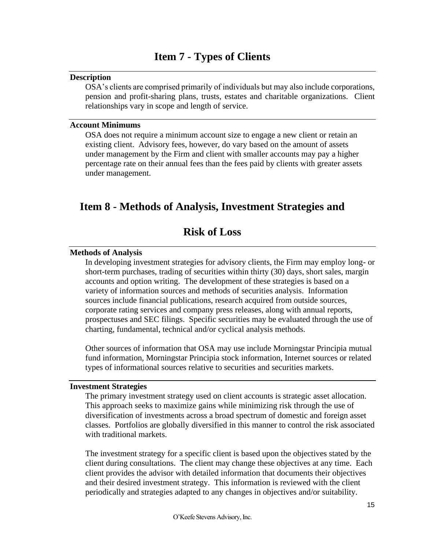### **Item 7 - Types of Clients**

#### <span id="page-14-1"></span><span id="page-14-0"></span>**Description**

OSA's clients are comprised primarily of individuals but may also include corporations, pension and profit-sharing plans, trusts, estates and charitable organizations. Client relationships vary in scope and length of service.

#### <span id="page-14-2"></span>**Account Minimums**

 OSA does not require a minimum account size to engage a new client or retain an existing client. Advisory fees, however, do vary based on the amount of assets under management by the Firm and client with smaller accounts may pay a higher percentage rate on their annual fees than the fees paid by clients with greater assets under management.

### <span id="page-14-4"></span><span id="page-14-3"></span>**Item 8 - Methods of Analysis, Investment Strategies and**

### **Risk of Loss**

#### <span id="page-14-5"></span>**Methods of Analysis**

 In developing investment strategies for advisory clients, the Firm may employ long- or short-term purchases, trading of securities within thirty (30) days, short sales, margin accounts and option writing. The development of these strategies is based on a variety of information sources and methods of securities analysis. Information sources include financial publications, research acquired from outside sources, corporate rating services and company press releases, along with annual reports, prospectuses and SEC filings. Specific securities may be evaluated through the use of charting, fundamental, technical and/or cyclical analysis methods.

 Other sources of information that OSA may use include Morningstar Principia mutual fund information, Morningstar Principia stock information, Internet sources or related types of informational sources relative to securities and securities markets.

#### <span id="page-14-6"></span>**Investment Strategies**

 The primary investment strategy used on client accounts is strategic asset allocation. This approach seeks to maximize gains while minimizing risk through the use of diversification of investments across a broad spectrum of domestic and foreign asset classes. Portfolios are globally diversified in this manner to control the risk associated with traditional markets.

 The investment strategy for a specific client is based upon the objectives stated by the client during consultations. The client may change these objectives at any time. Each client provides the advisor with detailed information that documents their objectives and their desired investment strategy. This information is reviewed with the client periodically and strategies adapted to any changes in objectives and/or suitability.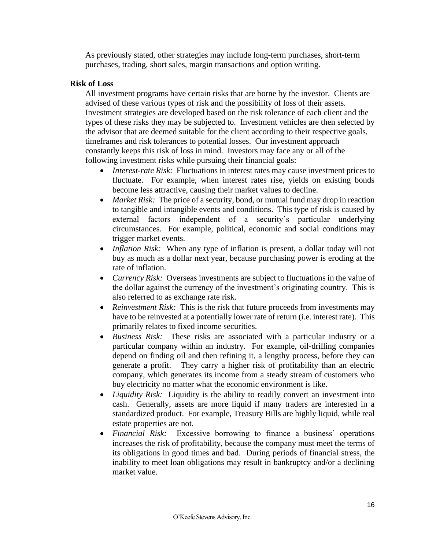As previously stated, other strategies may include long-term purchases, short-term purchases, trading, short sales, margin transactions and option writing.

#### <span id="page-15-0"></span>**Risk of Loss**

 All investment programs have certain risks that are borne by the investor. Clients are advised of these various types of risk and the possibility of loss of their assets. Investment strategies are developed based on the risk tolerance of each client and the types of these risks they may be subjected to. Investment vehicles are then selected by the advisor that are deemed suitable for the client according to their respective goals, timeframes and risk tolerances to potential losses. Our investment approach constantly keeps this risk of loss in mind. Investors may face any or all of the following investment risks while pursuing their financial goals:

- *Interest-rate Risk:* Fluctuations in interest rates may cause investment prices to fluctuate. For example, when interest rates rise, yields on existing bonds become less attractive, causing their market values to decline.
- *Market Risk:* The price of a security, bond, or mutual fund may drop in reaction to tangible and intangible events and conditions. This type of risk is caused by external factors independent of a security's particular underlying circumstances. For example, political, economic and social conditions may trigger market events.
- *Inflation Risk:* When any type of inflation is present, a dollar today will not buy as much as a dollar next year, because purchasing power is eroding at the rate of inflation.
- *Currency Risk:* Overseas investments are subject to fluctuations in the value of the dollar against the currency of the investment's originating country. This is also referred to as exchange rate risk.
- *Reinvestment Risk:* This is the risk that future proceeds from investments may have to be reinvested at a potentially lower rate of return (i.e. interest rate). This primarily relates to fixed income securities.
- *Business Risk:* These risks are associated with a particular industry or a particular company within an industry. For example, oil-drilling companies depend on finding oil and then refining it, a lengthy process, before they can generate a profit. They carry a higher risk of profitability than an electric company, which generates its income from a steady stream of customers who buy electricity no matter what the economic environment is like.
- *Liquidity Risk:* Liquidity is the ability to readily convert an investment into cash. Generally, assets are more liquid if many traders are interested in a standardized product. For example, Treasury Bills are highly liquid, while real estate properties are not.
- *Financial Risk:* Excessive borrowing to finance a business' operations increases the risk of profitability, because the company must meet the terms of its obligations in good times and bad. During periods of financial stress, the inability to meet loan obligations may result in bankruptcy and/or a declining market value.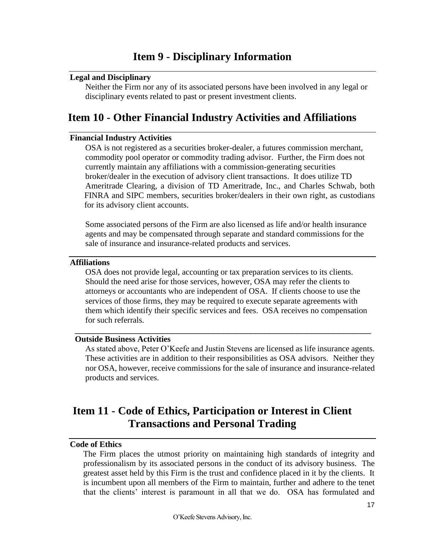#### <span id="page-16-1"></span><span id="page-16-0"></span>**Legal and Disciplinary**

 Neither the Firm nor any of its associated persons have been involved in any legal or disciplinary events related to past or present investment clients.

### <span id="page-16-2"></span>**Item 10 - Other Financial Industry Activities and Affiliations**

#### **Financial Industry Activities**

 OSA is not registered as a securities broker-dealer, a futures commission merchant, commodity pool operator or commodity trading advisor. Further, the Firm does not currently maintain any affiliations with a commission-generating securities broker/dealer in the execution of advisory client transactions. It does utilize TD Ameritrade Clearing, a division of TD Ameritrade, Inc., and Charles Schwab, both FINRA and SIPC members, securities broker/dealers in their own right, as custodians for its advisory client accounts.

 Some associated persons of the Firm are also licensed as life and/or health insurance agents and may be compensated through separate and standard commissions for the sale of insurance and insurance-related products and services.

#### <span id="page-16-3"></span>**Affiliations**

 OSA does not provide legal, accounting or tax preparation services to its clients. Should the need arise for those services, however, OSA may refer the clients to attorneys or accountants who are independent of OSA. If clients choose to use the services of those firms, they may be required to execute separate agreements with them which identify their specific services and fees. OSA receives no compensation for such referrals.

\_\_\_\_\_\_\_\_\_\_\_\_\_\_\_\_\_\_\_\_\_\_\_\_\_\_\_\_\_\_\_\_\_\_\_\_\_\_\_\_\_\_\_\_\_\_\_\_\_\_\_\_\_\_\_\_\_\_\_\_\_\_\_\_

#### **Outside Business Activities**

As stated above, Peter O'Keefe and Justin Stevens are licensed as life insurance agents. These activities are in addition to their responsibilities as OSA advisors. Neither they nor OSA, however, receive commissions for the sale of insurance and insurance-related products and services.

### <span id="page-16-4"></span>**Item 11 - Code of Ethics, Participation or Interest in Client Transactions and Personal Trading**

#### <span id="page-16-5"></span>**Code of Ethics**

The Firm places the utmost priority on maintaining high standards of integrity and professionalism by its associated persons in the conduct of its advisory business. The greatest asset held by this Firm is the trust and confidence placed in it by the clients. It is incumbent upon all members of the Firm to maintain, further and adhere to the tenet that the clients' interest is paramount in all that we do. OSA has formulated and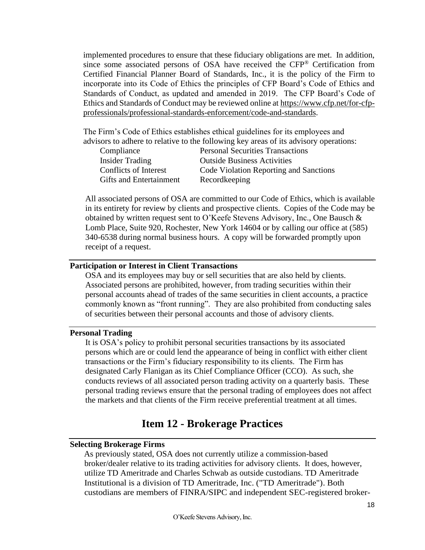implemented procedures to ensure that these fiduciary obligations are met. In addition, since some associated persons of OSA have received the CFP® Certification from Certified Financial Planner Board of Standards, Inc., it is the policy of the Firm to incorporate into its Code of Ethics the principles of CFP Board's Code of Ethics and Standards of Conduct, as updated and amended in 2019. The CFP Board's Code of Ethics and Standards of Conduct may be reviewed online at [https://www.cfp.net/for-cfp](http://www.investorwords.com/2599/investment.html)[professionals/professional-standards-enforcement/code-and-standards.](http://www.investorwords.com/2599/investment.html)

 The Firm's Code of Ethics establishes ethical guidelines for its employees and advisors to adhere to relative to the following key areas of its advisory operations:

| Compliance                     | <b>Personal Securities Transactions</b> |
|--------------------------------|-----------------------------------------|
| Insider Trading                | <b>Outside Business Activities</b>      |
| Conflicts of Interest          | Code Violation Reporting and Sanctions  |
| <b>Gifts</b> and Entertainment | Recordkeeping                           |

 All associated persons of OSA are committed to our Code of Ethics, which is available in its entirety for review by clients and prospective clients. Copies of the Code may be obtained by written request sent to O'Keefe Stevens Advisory, Inc., One Bausch & Lomb Place, Suite 920, Rochester, New York 14604 or by calling our office at (585) 340-6538 during normal business hours. A copy will be forwarded promptly upon receipt of a request.

#### <span id="page-17-0"></span>**Participation or Interest in Client Transactions**

 OSA and its employees may buy or sell securities that are also held by clients. Associated persons are prohibited, however, from trading securities within their personal accounts ahead of trades of the same securities in client accounts, a practice commonly known as "front running". They are also prohibited from conducting sales of securities between their personal accounts and those of advisory clients.

#### <span id="page-17-1"></span>**Personal Trading**

It is OSA's policy to prohibit personal securities transactions by its associated persons which are or could lend the appearance of being in conflict with either client transactions or the Firm's fiduciary responsibility to its clients. The Firm has designated Carly Flanigan as its Chief Compliance Officer (CCO). As such, she conducts reviews of all associated person trading activity on a quarterly basis. These personal trading reviews ensure that the personal trading of employees does not affect the markets and that clients of the Firm receive preferential treatment at all times.

### **Item 12 - Brokerage Practices**

#### <span id="page-17-3"></span><span id="page-17-2"></span>**Selecting Brokerage Firms**

 As previously stated, OSA does not currently utilize a commission-based broker/dealer relative to its trading activities for advisory clients. It does, however, utilize TD Ameritrade and Charles Schwab as outside custodians. TD Ameritrade Institutional is a division of TD Ameritrade, Inc. ("TD Ameritrade"). Both custodians are members of FINRA/SIPC and independent SEC-registered broker-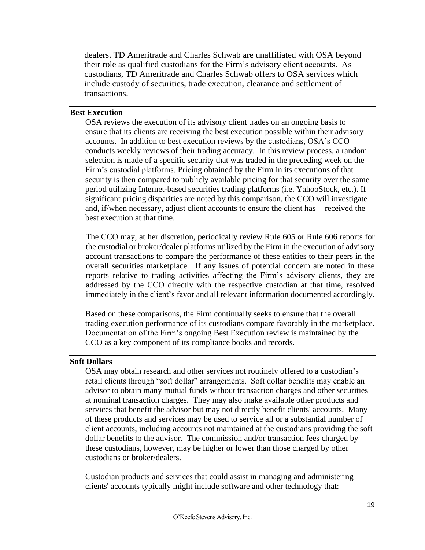dealers. TD Ameritrade and Charles Schwab are unaffiliated with OSA beyond their role as qualified custodians for the Firm's advisory client accounts. As custodians, TD Ameritrade and Charles Schwab offers to OSA services which include custody of securities, trade execution, clearance and settlement of transactions.

#### <span id="page-18-0"></span>**Best Execution**

 OSA reviews the execution of its advisory client trades on an ongoing basis to ensure that its clients are receiving the best execution possible within their advisory accounts. In addition to best execution reviews by the custodians, OSA's CCO conducts weekly reviews of their trading accuracy. In this review process, a random selection is made of a specific security that was traded in the preceding week on the Firm's custodial platforms. Pricing obtained by the Firm in its executions of that security is then compared to publicly available pricing for that security over the same period utilizing Internet-based securities trading platforms (i.e. YahooStock, etc.). If significant pricing disparities are noted by this comparison, the CCO will investigate and, if/when necessary, adjust client accounts to ensure the client has received the best execution at that time.

The CCO may, at her discretion, periodically review Rule 605 or Rule 606 reports for the custodial or broker/dealer platforms utilized by the Firm in the execution of advisory account transactions to compare the performance of these entities to their peers in the overall securities marketplace. If any issues of potential concern are noted in these reports relative to trading activities affecting the Firm's advisory clients, they are addressed by the CCO directly with the respective custodian at that time, resolved immediately in the client's favor and all relevant information documented accordingly.

 Based on these comparisons, the Firm continually seeks to ensure that the overall trading execution performance of its custodians compare favorably in the marketplace. Documentation of the Firm's ongoing Best Execution review is maintained by the CCO as a key component of its compliance books and records.

#### <span id="page-18-1"></span>**Soft Dollars**

 OSA may obtain research and other services not routinely offered to a custodian's retail clients through "soft dollar" arrangements. Soft dollar benefits may enable an advisor to obtain many mutual funds without transaction charges and other securities at nominal transaction charges. They may also make available other products and services that benefit the advisor but may not directly benefit clients' accounts. Many of these products and services may be used to service all or a substantial number of client accounts, including accounts not maintained at the custodians providing the soft dollar benefits to the advisor. The commission and/or transaction fees charged by these custodians, however, may be higher or lower than those charged by other custodians or broker/dealers.

 Custodian products and services that could assist in managing and administering clients' accounts typically might include software and other technology that: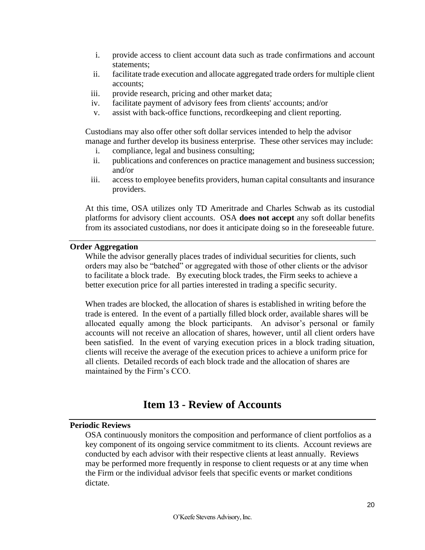- i. provide access to client account data such as trade confirmations and account statements;
- ii. facilitate trade execution and allocate aggregated trade orders for multiple client accounts;
- iii. provide research, pricing and other market data;
- iv. facilitate payment of advisory fees from clients' accounts; and/or
- v. assist with back-office functions, recordkeeping and client reporting.

 Custodians may also offer other soft dollar services intended to help the advisor manage and further develop its business enterprise. These other services may include:

- i. compliance, legal and business consulting;
- ii. publications and conferences on practice management and business succession; and/or
- iii. access to employee benefits providers, human capital consultants and insurance providers.

At this time, OSA utilizes only TD Ameritrade and Charles Schwab as its custodial platforms for advisory client accounts. OSA **does not accept** any soft dollar benefits from its associated custodians, nor does it anticipate doing so in the foreseeable future.

#### <span id="page-19-0"></span>**Order Aggregation**

 While the advisor generally places trades of individual securities for clients, such orders may also be "batched" or aggregated with those of other clients or the advisor to facilitate a block trade. By executing block trades, the Firm seeks to achieve a better execution price for all parties interested in trading a specific security.

When trades are blocked, the allocation of shares is established in writing before the trade is entered. In the event of a partially filled block order, available shares will be allocated equally among the block participants. An advisor's personal or family accounts will not receive an allocation of shares, however, until all client orders have been satisfied. In the event of varying execution prices in a block trading situation, clients will receive the average of the execution prices to achieve a uniform price for all clients. Detailed records of each block trade and the allocation of shares are maintained by the Firm's CCO.

### **Item 13 - Review of Accounts**

#### <span id="page-19-2"></span><span id="page-19-1"></span>**Periodic Reviews**

 OSA continuously monitors the composition and performance of client portfolios as a key component of its ongoing service commitment to its clients. Account reviews are conducted by each advisor with their respective clients at least annually. Reviews may be performed more frequently in response to client requests or at any time when the Firm or the individual advisor feels that specific events or market conditions dictate.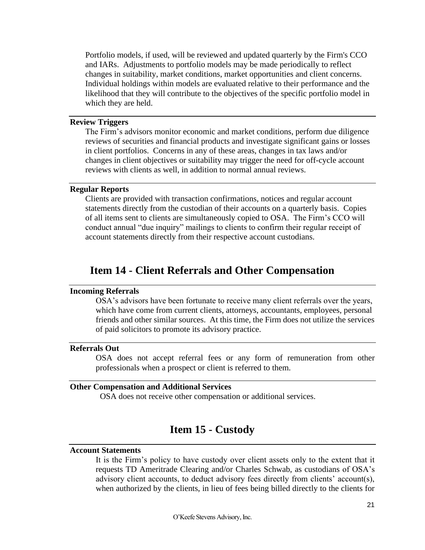Portfolio models, if used, will be reviewed and updated quarterly by the Firm's CCO and IARs. Adjustments to portfolio models may be made periodically to reflect changes in suitability, market conditions, market opportunities and client concerns. Individual holdings within models are evaluated relative to their performance and the likelihood that they will contribute to the objectives of the specific portfolio model in which they are held.

#### <span id="page-20-0"></span>**Review Triggers**

 The Firm's advisors monitor economic and market conditions, perform due diligence reviews of securities and financial products and investigate significant gains or losses in client portfolios. Concerns in any of these areas, changes in tax laws and/or changes in client objectives or suitability may trigger the need for off-cycle account reviews with clients as well, in addition to normal annual reviews.

#### <span id="page-20-1"></span>**Regular Reports**

 Clients are provided with transaction confirmations, notices and regular account statements directly from the custodian of their accounts on a quarterly basis. Copies of all items sent to clients are simultaneously copied to OSA. The Firm's CCO will conduct annual "due inquiry" mailings to clients to confirm their regular receipt of account statements directly from their respective account custodians.

### **Item 14 - Client Referrals and Other Compensation**

#### <span id="page-20-3"></span><span id="page-20-2"></span>**Incoming Referrals**

 OSA's advisors have been fortunate to receive many client referrals over the years, which have come from current clients, attorneys, accountants, employees, personal friends and other similar sources. At this time, the Firm does not utilize the services of paid solicitors to promote its advisory practice.

#### <span id="page-20-4"></span>**Referrals Out**

OSA does not accept referral fees or any form of remuneration from other professionals when a prospect or client is referred to them.

#### <span id="page-20-6"></span><span id="page-20-5"></span>**Other Compensation and Additional Services**

OSA does not receive other compensation or additional services.

### **Item 15 - Custody**

#### <span id="page-20-7"></span>**Account Statements**

It is the Firm's policy to have custody over client assets only to the extent that it requests TD Ameritrade Clearing and/or Charles Schwab, as custodians of OSA's advisory client accounts, to deduct advisory fees directly from clients' account(s), when authorized by the clients, in lieu of fees being billed directly to the clients for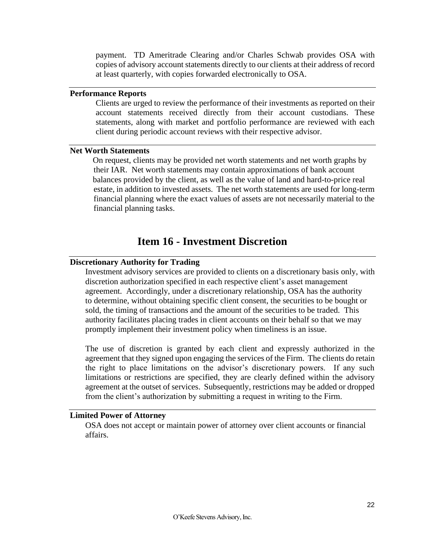payment. TD Ameritrade Clearing and/or Charles Schwab provides OSA with copies of advisory account statements directly to our clients at their address of record at least quarterly, with copies forwarded electronically to OSA.

#### <span id="page-21-0"></span>**Performance Reports**

Clients are urged to review the performance of their investments as reported on their account statements received directly from their account custodians. These statements, along with market and portfolio performance are reviewed with each client during periodic account reviews with their respective advisor.

#### <span id="page-21-1"></span>**Net Worth Statements**

On request, clients may be provided net worth statements and net worth graphs by their IAR. Net worth statements may contain approximations of bank account balances provided by the client, as well as the value of land and hard-to-price real estate, in addition to invested assets. The net worth statements are used for long-term financial planning where the exact values of assets are not necessarily material to the financial planning tasks.

### **Item 16 - Investment Discretion**

#### <span id="page-21-3"></span><span id="page-21-2"></span>**Discretionary Authority for Trading**

 Investment advisory services are provided to clients on a discretionary basis only, with discretion authorization specified in each respective client's asset management agreement. Accordingly, under a discretionary relationship, OSA has the authority to determine, without obtaining specific client consent, the securities to be bought or sold, the timing of transactions and the amount of the securities to be traded. This authority facilitates placing trades in client accounts on their behalf so that we may promptly implement their investment policy when timeliness is an issue.

The use of discretion is granted by each client and expressly authorized in the agreement that they signed upon engaging the services of the Firm. The clients do retain the right to place limitations on the advisor's discretionary powers. If any such limitations or restrictions are specified, they are clearly defined within the advisory agreement at the outset of services. Subsequently, restrictions may be added or dropped from the client's authorization by submitting a request in writing to the Firm.

#### <span id="page-21-4"></span>**Limited Power of Attorney**

 OSA does not accept or maintain power of attorney over client accounts or financial affairs.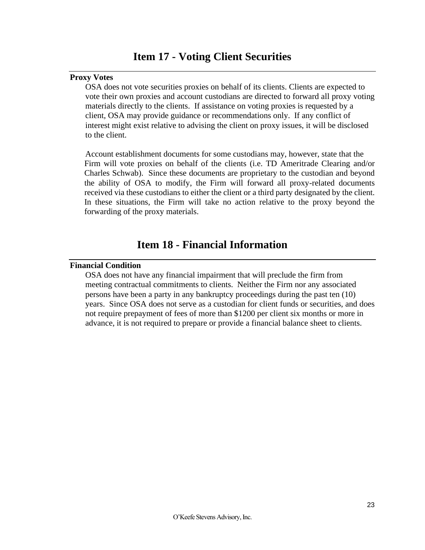#### <span id="page-22-1"></span><span id="page-22-0"></span>**Proxy Votes**

 OSA does not vote securities proxies on behalf of its clients. Clients are expected to vote their own proxies and account custodians are directed to forward all proxy voting materials directly to the clients. If assistance on voting proxies is requested by a client, OSA may provide guidance or recommendations only. If any conflict of interest might exist relative to advising the client on proxy issues, it will be disclosed to the client.

 Account establishment documents for some custodians may, however, state that the Firm will vote proxies on behalf of the clients (i.e. TD Ameritrade Clearing and/or Charles Schwab). Since these documents are proprietary to the custodian and beyond the ability of OSA to modify, the Firm will forward all proxy-related documents received via these custodians to either the client or a third party designated by the client. In these situations, the Firm will take no action relative to the proxy beyond the forwarding of the proxy materials.

### **Item 18 - Financial Information**

#### <span id="page-22-3"></span><span id="page-22-2"></span>**Financial Condition**

 OSA does not have any financial impairment that will preclude the firm from meeting contractual commitments to clients. Neither the Firm nor any associated persons have been a party in any bankruptcy proceedings during the past ten (10) years. Since OSA does not serve as a custodian for client funds or securities, and does not require prepayment of fees of more than \$1200 per client six months or more in advance, it is not required to prepare or provide a financial balance sheet to clients.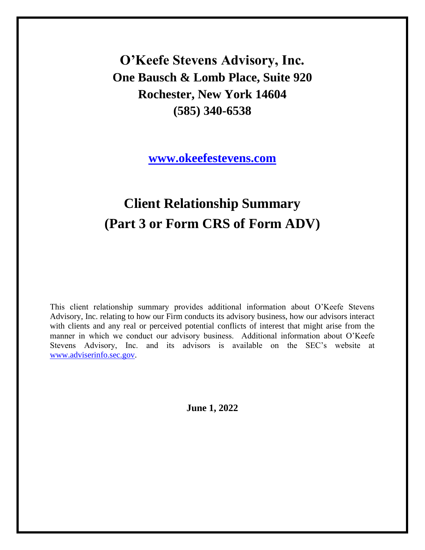**O'Keefe Stevens Advisory, Inc. One Bausch & Lomb Place, Suite 920 Rochester, New York 14604 (585) 340-6538**

**[www.okeefestevens.com](http://www.investorwords.com/3890/program.html)**

# **Client Relationship Summary (Part 3 or Form CRS of Form ADV)**

This client relationship summary provides additional information about O'Keefe Stevens Advisory, Inc. relating to how our Firm conducts its advisory business, how our advisors interact with clients and any real or perceived potential conflicts of interest that might arise from the manner in which we conduct our advisory business. Additional information about O'Keefe Stevens Advisory, Inc. and its advisors is available on the SEC's website at [www.adviserinfo.sec.gov.](mailto:info@okeefestevens.com)

**June 1, 2022**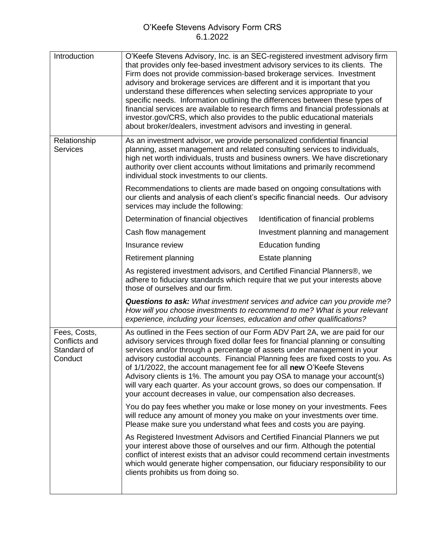| Introduction                                            | O'Keefe Stevens Advisory, Inc. is an SEC-registered investment advisory firm<br>that provides only fee-based investment advisory services to its clients. The<br>Firm does not provide commission-based brokerage services. Investment<br>advisory and brokerage services are different and it is important that you<br>understand these differences when selecting services appropriate to your<br>specific needs. Information outlining the differences between these types of<br>financial services are available to research firms and financial professionals at<br>investor.gov/CRS, which also provides to the public educational materials<br>about broker/dealers, investment advisors and investing in general. |                                                                                                                                                                  |  |
|---------------------------------------------------------|---------------------------------------------------------------------------------------------------------------------------------------------------------------------------------------------------------------------------------------------------------------------------------------------------------------------------------------------------------------------------------------------------------------------------------------------------------------------------------------------------------------------------------------------------------------------------------------------------------------------------------------------------------------------------------------------------------------------------|------------------------------------------------------------------------------------------------------------------------------------------------------------------|--|
| Relationship<br><b>Services</b>                         | As an investment advisor, we provide personalized confidential financial<br>planning, asset management and related consulting services to individuals,<br>high net worth individuals, trusts and business owners. We have discretionary<br>authority over client accounts without limitations and primarily recommend<br>individual stock investments to our clients.                                                                                                                                                                                                                                                                                                                                                     |                                                                                                                                                                  |  |
|                                                         | Recommendations to clients are made based on ongoing consultations with<br>services may include the following:                                                                                                                                                                                                                                                                                                                                                                                                                                                                                                                                                                                                            | our clients and analysis of each client's specific financial needs. Our advisory                                                                                 |  |
|                                                         | Determination of financial objectives                                                                                                                                                                                                                                                                                                                                                                                                                                                                                                                                                                                                                                                                                     | Identification of financial problems                                                                                                                             |  |
|                                                         | Cash flow management                                                                                                                                                                                                                                                                                                                                                                                                                                                                                                                                                                                                                                                                                                      | Investment planning and management                                                                                                                               |  |
|                                                         | Insurance review                                                                                                                                                                                                                                                                                                                                                                                                                                                                                                                                                                                                                                                                                                          | <b>Education funding</b>                                                                                                                                         |  |
|                                                         | Retirement planning                                                                                                                                                                                                                                                                                                                                                                                                                                                                                                                                                                                                                                                                                                       | Estate planning                                                                                                                                                  |  |
|                                                         | As registered investment advisors, and Certified Financial Planners®, we<br>adhere to fiduciary standards which require that we put your interests above<br>those of ourselves and our firm.                                                                                                                                                                                                                                                                                                                                                                                                                                                                                                                              |                                                                                                                                                                  |  |
|                                                         | experience, including your licenses, education and other qualifications?                                                                                                                                                                                                                                                                                                                                                                                                                                                                                                                                                                                                                                                  | <b>Questions to ask:</b> What investment services and advice can you provide me?<br>How will you choose investments to recommend to me? What is your relevant    |  |
| Fees, Costs,<br>Conflicts and<br>Standard of<br>Conduct | As outlined in the Fees section of our Form ADV Part 2A, we are paid for our<br>advisory services through fixed dollar fees for financial planning or consulting<br>services and/or through a percentage of assets under management in your<br>advisory custodial accounts. Financial Planning fees are fixed costs to you. As<br>of 1/1/2022, the account management fee for all new O'Keefe Stevens<br>Advisory clients is 1%. The amount you pay OSA to manage your account(s)<br>will vary each quarter. As your account grows, so does our compensation. If<br>your account decreases in value, our compensation also decreases.                                                                                     |                                                                                                                                                                  |  |
|                                                         | will reduce any amount of money you make on your investments over time.<br>Please make sure you understand what fees and costs you are paying.                                                                                                                                                                                                                                                                                                                                                                                                                                                                                                                                                                            | You do pay fees whether you make or lose money on your investments. Fees                                                                                         |  |
|                                                         | As Registered Investment Advisors and Certified Financial Planners we put<br>your interest above those of ourselves and our firm. Although the potential<br>clients prohibits us from doing so.                                                                                                                                                                                                                                                                                                                                                                                                                                                                                                                           | conflict of interest exists that an advisor could recommend certain investments<br>which would generate higher compensation, our fiduciary responsibility to our |  |
|                                                         |                                                                                                                                                                                                                                                                                                                                                                                                                                                                                                                                                                                                                                                                                                                           |                                                                                                                                                                  |  |